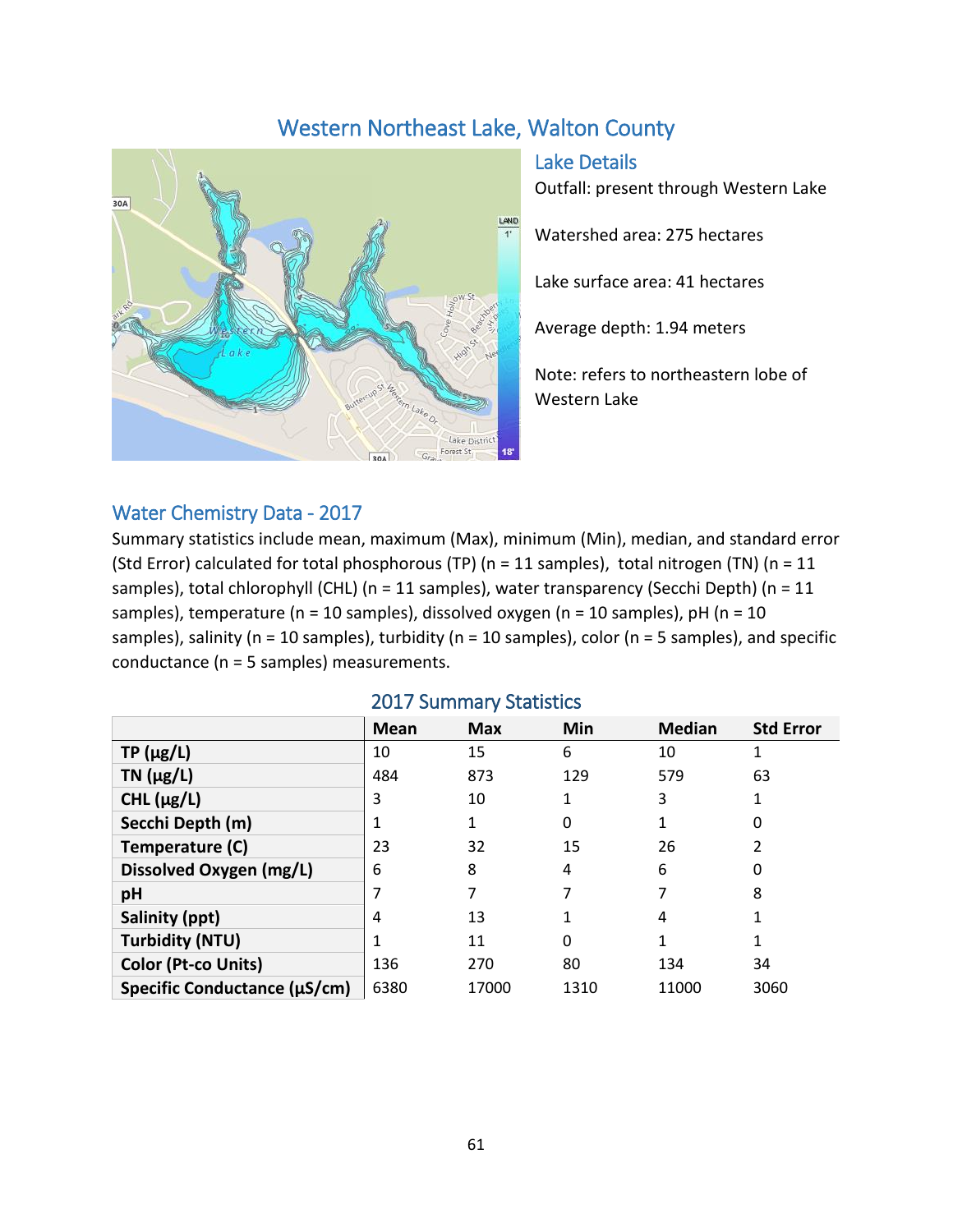# Western Northeast Lake, Walton County



Lake Details

Outfall: present through Western Lake

Watershed area: 275 hectares

Lake surface area: 41 hectares

Average depth: 1.94 meters

Note: refers to northeastern lobe of Western Lake

#### Water Chemistry Data - 2017

Summary statistics include mean, maximum (Max), minimum (Min), median, and standard error (Std Error) calculated for total phosphorous (TP) (n = 11 samples), total nitrogen (TN) (n = 11 samples), total chlorophyll (CHL) (n = 11 samples), water transparency (Secchi Depth) (n = 11 samples), temperature ( $n = 10$  samples), dissolved oxygen ( $n = 10$  samples),  $pH$  ( $n = 10$ samples), salinity ( $n = 10$  samples), turbidity ( $n = 10$  samples), color ( $n = 5$  samples), and specific conductance (n = 5 samples) measurements.

|                              | Mean | <b>Max</b> | <b>Min</b> | <b>Median</b> | <b>Std Error</b> |  |  |  |
|------------------------------|------|------------|------------|---------------|------------------|--|--|--|
| $TP(\mu g/L)$                | 10   | 15         | 6          | 10            |                  |  |  |  |
| $TN$ ( $\mu$ g/L)            | 484  | 873        | 129        | 579           | 63               |  |  |  |
| CHL $(\mu g/L)$              | 3    | 10         | 1          | 3             |                  |  |  |  |
| Secchi Depth (m)             |      |            | 0          |               | 0                |  |  |  |
| Temperature (C)              | 23   | 32         | 15         | 26            |                  |  |  |  |
| Dissolved Oxygen (mg/L)      | 6    | 8          | 4          | 6             | 0                |  |  |  |
| pH                           |      |            |            |               | 8                |  |  |  |
| Salinity (ppt)               | 4    | 13         |            | 4             |                  |  |  |  |
| <b>Turbidity (NTU)</b>       |      | 11         | 0          |               |                  |  |  |  |
| Color (Pt-co Units)          | 136  | 270        | 80         | 134           | 34               |  |  |  |
| Specific Conductance (µS/cm) | 6380 | 17000      | 1310       | 11000         | 3060             |  |  |  |

#### 2017 Summary Statistics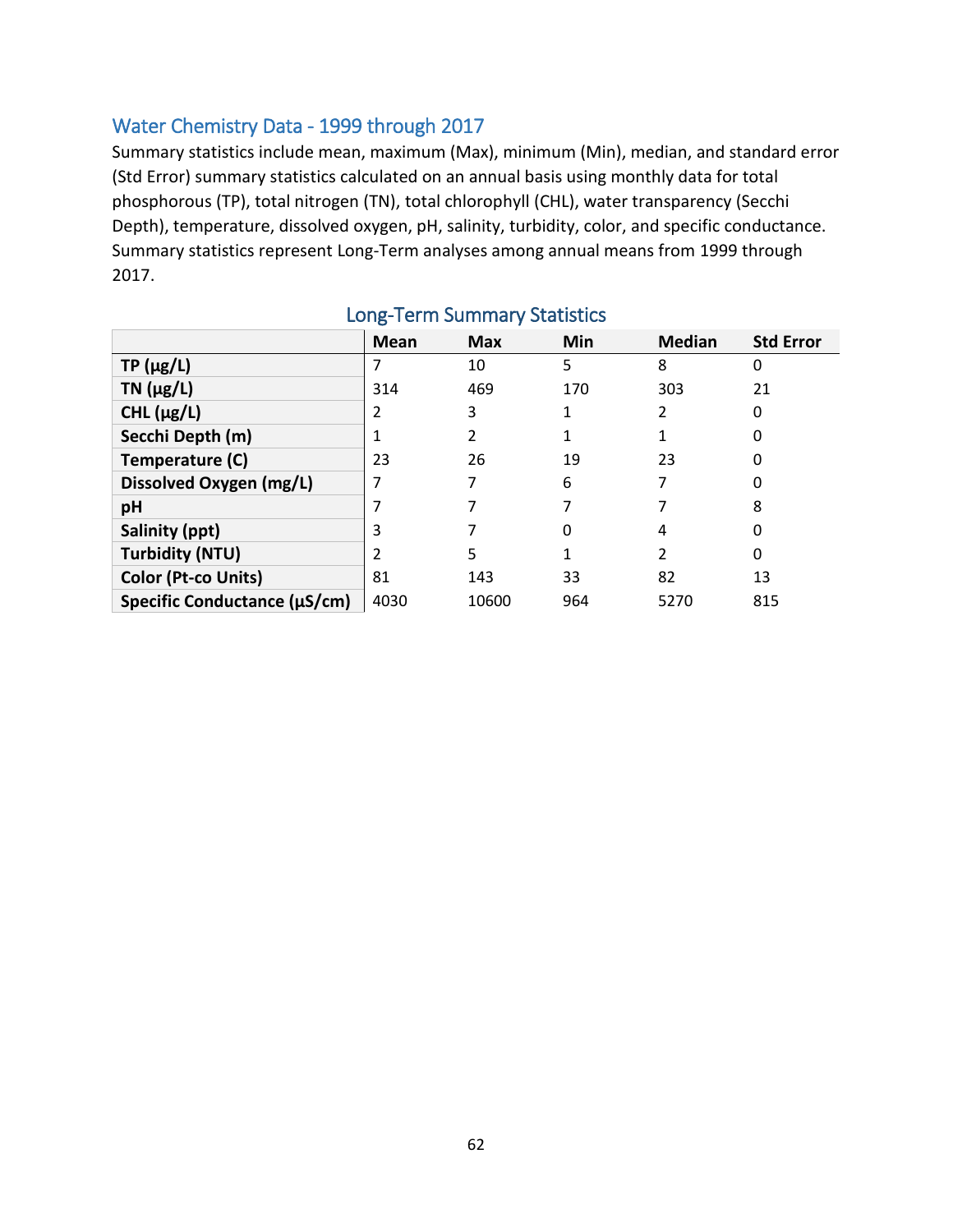### Water Chemistry Data - 1999 through 2017

Summary statistics include mean, maximum (Max), minimum (Min), median, and standard error (Std Error) summary statistics calculated on an annual basis using monthly data for total phosphorous (TP), total nitrogen (TN), total chlorophyll (CHL), water transparency (Secchi Depth), temperature, dissolved oxygen, pH, salinity, turbidity, color, and specific conductance. Summary statistics represent Long-Term analyses among annual means from 1999 through 2017.

|                              | <b>Mean</b> | <b>Max</b> | Min | <b>Median</b> | <b>Std Error</b> |
|------------------------------|-------------|------------|-----|---------------|------------------|
| $TP(\mu g/L)$                |             | 10         | 5   | 8             | 0                |
| $TN$ ( $\mu$ g/L)            | 314         | 469        | 170 | 303           | 21               |
| CHL $(\mu g/L)$              |             | 3          |     | 2             | 0                |
| Secchi Depth (m)             |             |            |     |               | 0                |
| Temperature (C)              | 23          | 26         | 19  | 23            | 0                |
| Dissolved Oxygen (mg/L)      |             |            | 6   | 7             | 0                |
| pH                           |             |            |     |               | 8                |
| Salinity (ppt)               | 3           |            | 0   | 4             | 0                |
| <b>Turbidity (NTU)</b>       |             | 5          |     | 2             | 0                |
| Color (Pt-co Units)          | 81          | 143        | 33  | 82            | 13               |
| Specific Conductance (µS/cm) | 4030        | 10600      | 964 | 5270          | 815              |

## Long-Term Summary Statistics